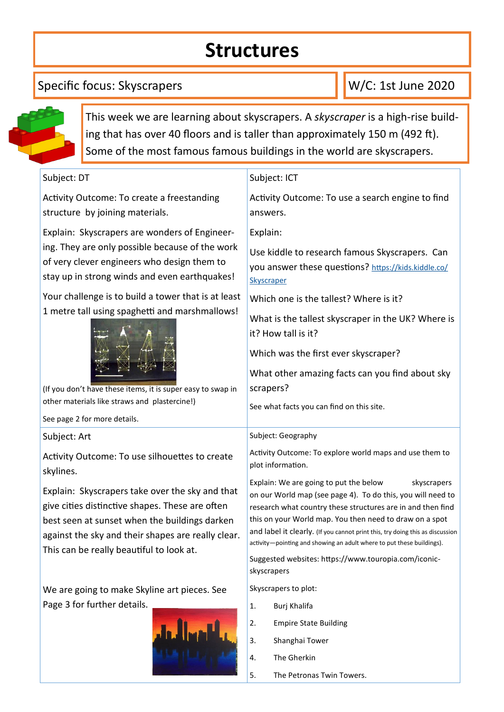# **Structures**

### Specific focus: Skyscrapers

W/C: 1st June 2020



This week we are learning about skyscrapers. A *skyscraper* is a high-rise building that has over 40 floors and is taller than approximately 150 m (492 ft). Some of the most famous famous buildings in the world are skyscrapers.

| Subject: DT                                                                                                                                                                                                                                                                                                                                                                                                                                               | Subject: ICT                                                                                                                                                                                                                                                                                                                                                                                                                                                                                                                                                    |
|-----------------------------------------------------------------------------------------------------------------------------------------------------------------------------------------------------------------------------------------------------------------------------------------------------------------------------------------------------------------------------------------------------------------------------------------------------------|-----------------------------------------------------------------------------------------------------------------------------------------------------------------------------------------------------------------------------------------------------------------------------------------------------------------------------------------------------------------------------------------------------------------------------------------------------------------------------------------------------------------------------------------------------------------|
| Activity Outcome: To create a freestanding<br>structure by joining materials.                                                                                                                                                                                                                                                                                                                                                                             | Activity Outcome: To use a search engine to find<br>answers.                                                                                                                                                                                                                                                                                                                                                                                                                                                                                                    |
| Explain: Skyscrapers are wonders of Engineer-<br>ing. They are only possible because of the work<br>of very clever engineers who design them to<br>stay up in strong winds and even earthquakes!<br>Your challenge is to build a tower that is at least<br>1 metre tall using spaghetti and marshmallows!<br>(If you don't have these items, it is super easy to swap in<br>other materials like straws and plastercine!)<br>See page 2 for more details. | Explain:<br>Use kiddle to research famous Skyscrapers. Can<br>you answer these questions? https://kids.kiddle.co/<br>Skyscraper<br>Which one is the tallest? Where is it?<br>What is the tallest skyscraper in the UK? Where is<br>it? How tall is it?<br>Which was the first ever skyscraper?<br>What other amazing facts can you find about sky<br>scrapers?<br>See what facts you can find on this site.                                                                                                                                                     |
| Subject: Art                                                                                                                                                                                                                                                                                                                                                                                                                                              | Subject: Geography                                                                                                                                                                                                                                                                                                                                                                                                                                                                                                                                              |
| Activity Outcome: To use silhouettes to create<br>skylines.<br>Explain: Skyscrapers take over the sky and that<br>give cities distinctive shapes. These are often<br>best seen at sunset when the buildings darken<br>against the sky and their shapes are really clear.<br>This can be really beautiful to look at.                                                                                                                                      | Activity Outcome: To explore world maps and use them to<br>plot information.<br>Explain: We are going to put the below<br>skyscrapers<br>on our World map (see page 4). To do this, you will need to<br>research what country these structures are in and then find<br>this on your World map. You then need to draw on a spot<br>and label it clearly. (If you cannot print this, try doing this as discussion<br>activity-pointing and showing an adult where to put these buildings).<br>Suggested websites: https://www.touropia.com/iconic-<br>skyscrapers |
| We are going to make Skyline art pieces. See                                                                                                                                                                                                                                                                                                                                                                                                              | Skyscrapers to plot:                                                                                                                                                                                                                                                                                                                                                                                                                                                                                                                                            |
| Page 3 for further details.                                                                                                                                                                                                                                                                                                                                                                                                                               | Burj Khalifa<br>1.<br><b>Empire State Building</b><br>2.<br>3.<br>Shanghai Tower<br>The Gherkin<br>4.                                                                                                                                                                                                                                                                                                                                                                                                                                                           |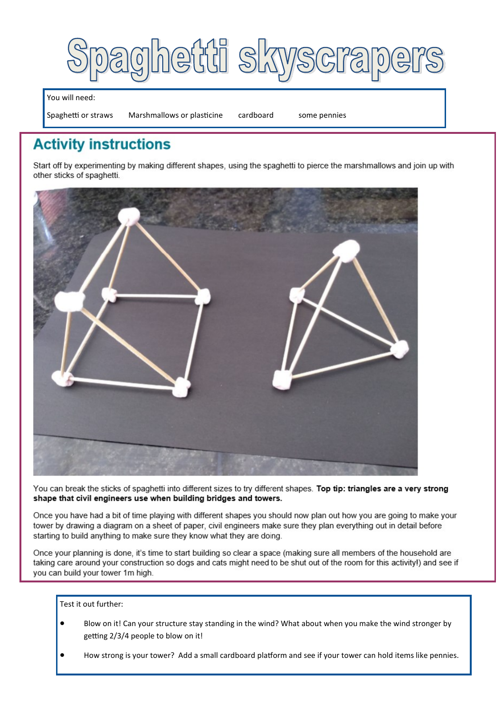

You will need:

Spaghetti or straws Marshmallows or plasticine cardboard some pennies

## **Activity instructions**

Start off by experimenting by making different shapes, using the spaghetti to pierce the marshmallows and join up with other sticks of spaghetti.



You can break the sticks of spaghetti into different sizes to try different shapes. Top tip: triangles are a very strong shape that civil engineers use when building bridges and towers.

Once you have had a bit of time playing with different shapes you should now plan out how you are going to make your tower by drawing a diagram on a sheet of paper, civil engineers make sure they plan everything out in detail before starting to build anything to make sure they know what they are doing.

Once your planning is done, it's time to start building so clear a space (making sure all members of the household are taking care around your construction so dogs and cats might need to be shut out of the room for this activity!) and see if you can build your tower 1m high.

Test it out further:

- Blow on it! Can your structure stay standing in the wind? What about when you make the wind stronger by getting 2/3/4 people to blow on it!
- How strong is your tower? Add a small cardboard platform and see if your tower can hold items like pennies.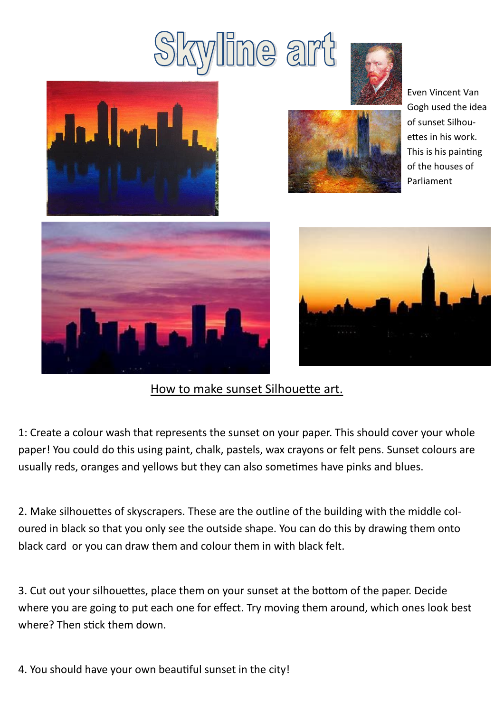# line art





Even Vincent Van Gogh used the idea of sunset Silhouettes in his work. This is his painting of the houses of Parliament





#### How to make sunset Silhouette art.

1: Create a colour wash that represents the sunset on your paper. This should cover your whole paper! You could do this using paint, chalk, pastels, wax crayons or felt pens. Sunset colours are usually reds, oranges and yellows but they can also sometimes have pinks and blues.

2. Make silhouettes of skyscrapers. These are the outline of the building with the middle coloured in black so that you only see the outside shape. You can do this by drawing them onto black card or you can draw them and colour them in with black felt.

3. Cut out your silhouettes, place them on your sunset at the bottom of the paper. Decide where you are going to put each one for effect. Try moving them around, which ones look best where? Then stick them down.

4. You should have your own beautiful sunset in the city!